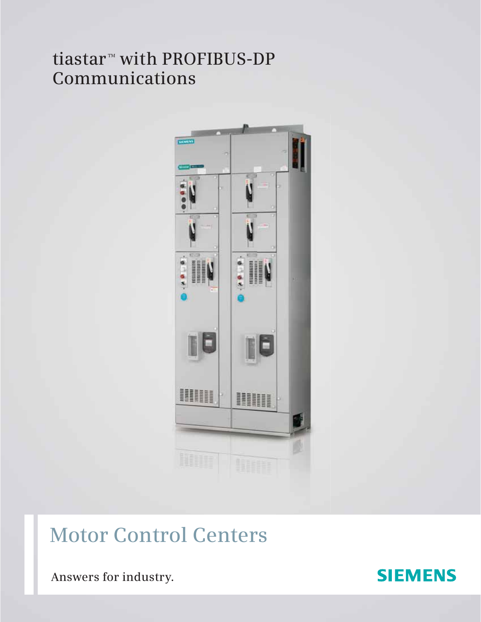## tiastar<sup>™</sup> with PROFIBUS-DP **Communications**



# **Motor Control Centers**

**Answers for industry.**

### **SIEMENS**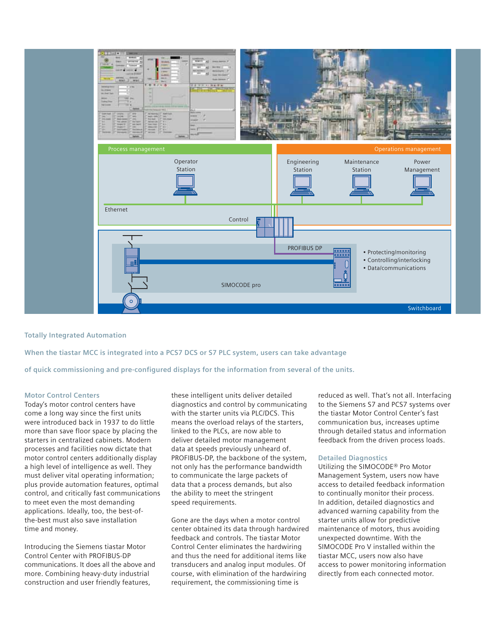

**Totally Integrated Automation**

**When the tiastar MCC is integrated into a PCS7 DCS or S7 PLC system, users can take advantage** 

**of quick commissioning and pre-configured displays for the information from several of the units.**

#### **Motor Control Centers**

Today's motor control centers have come a long way since the first units were introduced back in 1937 to do little more than save floor space by placing the starters in centralized cabinets. Modern processes and facilities now dictate that motor control centers additionally display a high level of intelligence as well. They must deliver vital operating information; plus provide automation features, optimal control, and critically fast communications to meet even the most demanding applications. Ideally, too, the best-ofthe-best must also save installation time and money.

Introducing the Siemens tiastar Motor Control Center with PROFIBUS-DP communications. It does all the above and more. Combining heavy-duty industrial construction and user friendly features,

these intelligent units deliver detailed diagnostics and control by communicating with the starter units via PLC/DCS. This means the overload relays of the starters, linked to the PLCs, are now able to deliver detailed motor management data at speeds previously unheard of. PROFIBUS-DP, the backbone of the system, not only has the performance bandwidth to communicate the large packets of data that a process demands, but also the ability to meet the stringent speed requirements.

Gone are the days when a motor control center obtained its data through hardwired feedback and controls. The tiastar Motor Control Center eliminates the hardwiring and thus the need for additional items like transducers and analog input modules. Of course, with elimination of the hardwiring requirement, the commissioning time is

reduced as well. That's not all. Interfacing to the Siemens S7 and PCS7 systems over the tiastar Motor Control Center's fast communication bus, increases uptime through detailed status and information feedback from the driven process loads.

#### **Detailed Diagnostics**

Utilizing the SIMOCODE® Pro Motor Management System, users now have access to detailed feedback information to continually monitor their process. In addition, detailed diagnostics and advanced warning capability from the starter units allow for predictive maintenance of motors, thus avoiding unexpected downtime. With the SIMOCODE Pro V installed within the tiastar MCC, users now also have access to power monitoring information directly from each connected motor.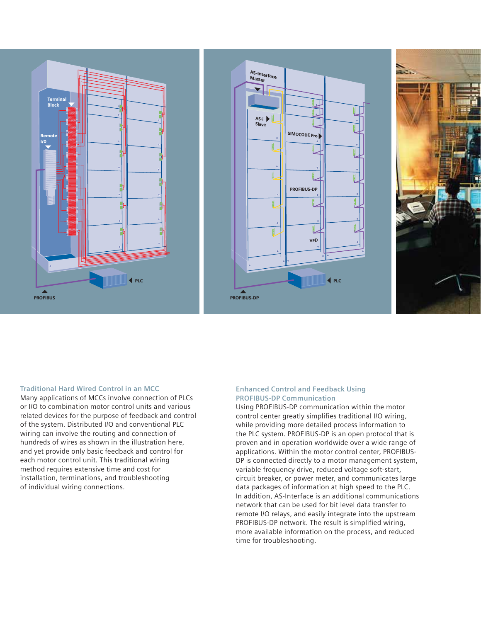





#### **Traditional Hard Wired Control in an MCC**

Many applications of MCCs involve connection of PLCs or I/O to combination motor control units and various related devices for the purpose of feedback and control of the system. Distributed I/O and conventional PLC wiring can involve the routing and connection of hundreds of wires as shown in the illustration here, and yet provide only basic feedback and control for each motor control unit. This traditional wiring method requires extensive time and cost for installation, terminations, and troubleshooting of individual wiring connections.

#### **Enhanced Control and Feedback Using PROFIBUS-DP Communication**

Using PROFIBUS-DP communication within the motor control center greatly simplifies traditional I/O wiring, while providing more detailed process information to the PLC system. PROFIBUS-DP is an open protocol that is proven and in operation worldwide over a wide range of applications. Within the motor control center, PROFIBUS-DP is connected directly to a motor management system, variable frequency drive, reduced voltage soft-start, circuit breaker, or power meter, and communicates large data packages of information at high speed to the PLC. In addition, AS-Interface is an additional communications network that can be used for bit level data transfer to remote I/O relays, and easily integrate into the upstream PROFIBUS-DP network. The result is simplified wiring, more available information on the process, and reduced time for troubleshooting.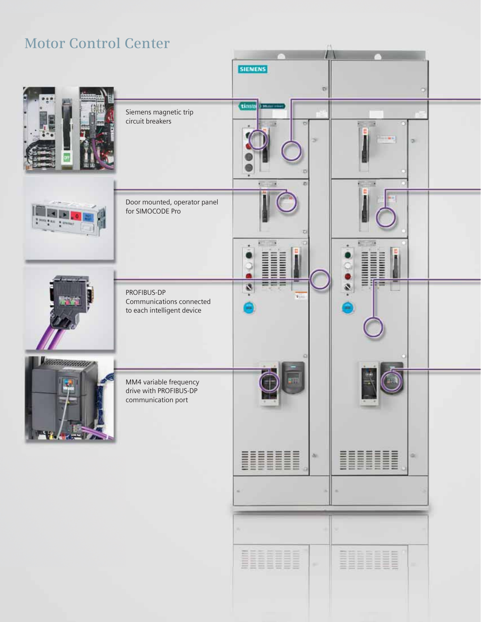

### **Motor Control Center**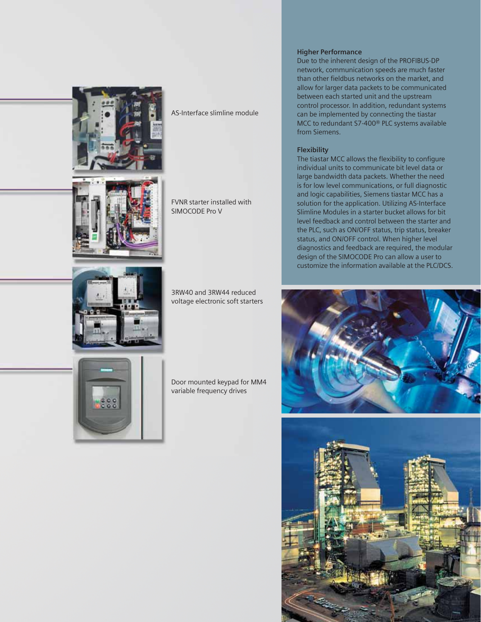

AS-Interface slimline module

FVNR starter installed with SIMOCODE Pro V



3RW40 and 3RW44 reduced voltage electronic soft starters



Door mounted keypad for MM4 variable frequency drives

#### **Higher Performance**

Due to the inherent design of the PROFIBUS-DP network, communication speeds are much faster than other fieldbus networks on the market, and allow for larger data packets to be communicated between each started unit and the upstream control processor. In addition, redundant systems can be implemented by connecting the tiastar MCC to redundant S7-400® PLC systems available from Siemens.

#### **Flexibility**

The tiastar MCC allows the flexibility to configure individual units to communicate bit level data or large bandwidth data packets. Whether the need is for low level communications, or full diagnostic and logic capabilities, Siemens tiastar MCC has a solution for the application. Utilizing AS-Interface Slimline Modules in a starter bucket allows for bit level feedback and control between the starter and the PLC, such as ON/OFF status, trip status, breaker status, and ON/OFF control. When higher level diagnostics and feedback are required, the modular design of the SIMOCODE Pro can allow a user to customize the information available at the PLC/DCS.



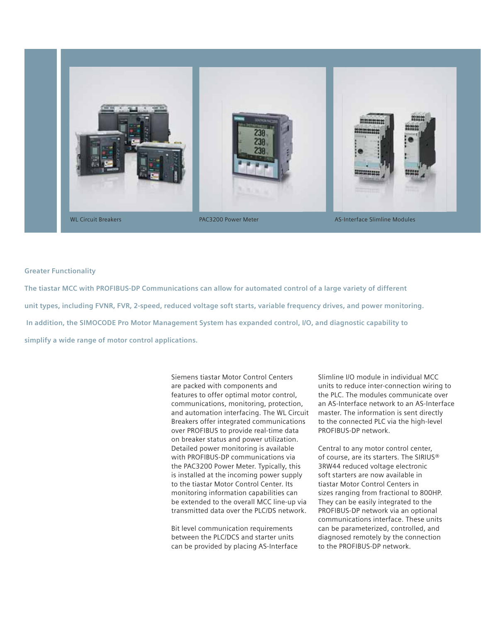

#### **Greater Functionality**

**The tiastar MCC with PROFIBUS-DP Communications can allow for automated control of a large variety of different unit types, including FVNR, FVR, 2-speed, reduced voltage soft starts, variable frequency drives, and power monitoring. In addition, the SIMOCODE Pro Motor Management System has expanded control, I/O, and diagnostic capability to simplify a wide range of motor control applications.**

> Siemens tiastar Motor Control Centers are packed with components and features to offer optimal motor control, communications, monitoring, protection, and automation interfacing. The WL Circuit Breakers offer integrated communications over PROFIBUS to provide real-time data on breaker status and power utilization. Detailed power monitoring is available with PROFIBUS-DP communications via the PAC3200 Power Meter. Typically, this is installed at the incoming power supply to the tiastar Motor Control Center. Its monitoring information capabilities can be extended to the overall MCC line-up via transmitted data over the PLC/DS network.

Bit level communication requirements between the PLC/DCS and starter units can be provided by placing AS-Interface Slimline I/O module in individual MCC units to reduce inter-connection wiring to the PLC. The modules communicate over an AS-Interface network to an AS-Interface master. The information is sent directly to the connected PLC via the high-level PROFIBUS-DP network.

Central to any motor control center, of course, are its starters. The SIRIUS® 3RW44 reduced voltage electronic soft starters are now available in tiastar Motor Control Centers in sizes ranging from fractional to 800HP. They can be easily integrated to the PROFIBUS-DP network via an optional communications interface. These units can be parameterized, controlled, and diagnosed remotely by the connection to the PROFIBUS-DP network.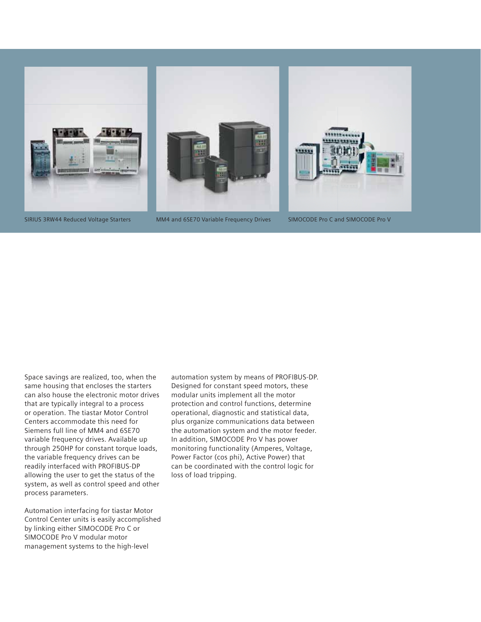

SIRIUS 3RW44 Reduced Voltage Starters MM4 and 6SE70 Variable Frequency Drives SIMOCODE Pro C and SIMOCODE Pro V

Space savings are realized, too, when the same housing that encloses the starters can also house the electronic motor drives that are typically integral to a process or operation. The tiastar Motor Control Centers accommodate this need for Siemens full line of MM4 and 6SE70 variable frequency drives. Available up through 250HP for constant torque loads, the variable frequency drives can be readily interfaced with PROFIBUS-DP allowing the user to get the status of the system, as well as control speed and other process parameters.

Automation interfacing for tiastar Motor Control Center units is easily accomplished by linking either SIMOCODE Pro C or SIMOCODE Pro V modular motor management systems to the high-level

automation system by means of PROFIBUS-DP. Designed for constant speed motors, these modular units implement all the motor protection and control functions, determine operational, diagnostic and statistical data, plus organize communications data between the automation system and the motor feeder. In addition, SIMOCODE Pro V has power monitoring functionality (Amperes, Voltage, Power Factor (cos phi), Active Power) that can be coordinated with the control logic for loss of load tripping.